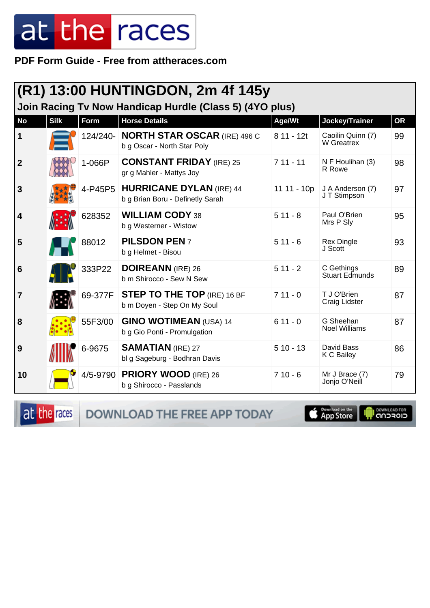PDF Form Guide - Free from attheraces.com

| (R1) 13:00 HUNTINGDON, 2m 4f 145y                       |             |          |                                                                      |             |                                     |           |  |
|---------------------------------------------------------|-------------|----------|----------------------------------------------------------------------|-------------|-------------------------------------|-----------|--|
| Join Racing Tv Now Handicap Hurdle (Class 5) (4YO plus) |             |          |                                                                      |             |                                     |           |  |
| <b>No</b>                                               | <b>Silk</b> | Form     | <b>Horse Details</b>                                                 | Age/Wt      | Jockey/Trainer                      | <b>OR</b> |  |
| $\mathbf 1$                                             |             | 124/240- | <b>NORTH STAR OSCAR (IRE) 496 C</b><br>b g Oscar - North Star Poly   | 8 11 - 12t  | Caoilin Quinn (7)<br>W Greatrex     | 99        |  |
| $\overline{2}$                                          |             | 1-066P   | <b>CONSTANT FRIDAY (IRE) 25</b><br>gr g Mahler - Mattys Joy          | $711 - 11$  | N F Houlihan (3)<br>R Rowe          | 98        |  |
| $\mathbf{3}$                                            |             |          | 4-P45P5 HURRICANE DYLAN (IRE) 44<br>b g Brian Boru - Definetly Sarah | 11 11 - 10p | J A Anderson (7)<br>J T Stimpson    | 97        |  |
| $\overline{\mathbf{4}}$                                 |             | 628352   | <b>WILLIAM CODY 38</b><br>b g Westerner - Wistow                     | $511 - 8$   | Paul O'Brien<br>Mrs P Sly           | 95        |  |
| 5                                                       |             | 88012    | <b>PILSDON PEN7</b><br>b g Helmet - Bisou                            | $511 - 6$   | <b>Rex Dingle</b><br>J Scott        | 93        |  |
| $6\phantom{1}6$                                         |             | 333P22   | <b>DOIREANN</b> (IRE) 26<br>b m Shirocco - Sew N Sew                 | $511 - 2$   | C Gethings<br><b>Stuart Edmunds</b> | 89        |  |
| 7                                                       |             | 69-377F  | <b>STEP TO THE TOP (IRE) 16 BF</b><br>b m Doyen - Step On My Soul    | $711 - 0$   | T J O'Brien<br>Craig Lidster        | 87        |  |
| 8                                                       |             | 55F3/00  | <b>GINO WOTIMEAN (USA) 14</b><br>b g Gio Ponti - Promulgation        | $611 - 0$   | G Sheehan<br><b>Noel Williams</b>   | 87        |  |
| 9                                                       |             | 6-9675   | <b>SAMATIAN (IRE) 27</b><br>bl g Sageburg - Bodhran Davis            | $510 - 13$  | David Bass<br>K C Bailey            | 86        |  |
| 10                                                      |             |          | 4/5-9790 PRIORY WOOD (IRE) 26<br>b g Shirocco - Passlands            | $710 - 6$   | Mr J Brace (7)<br>Jonjo O'Neill     | 79        |  |

at the races DOWNLOAD THE FREE APP TODAY

App Store U

**OOWNLOAD FOR**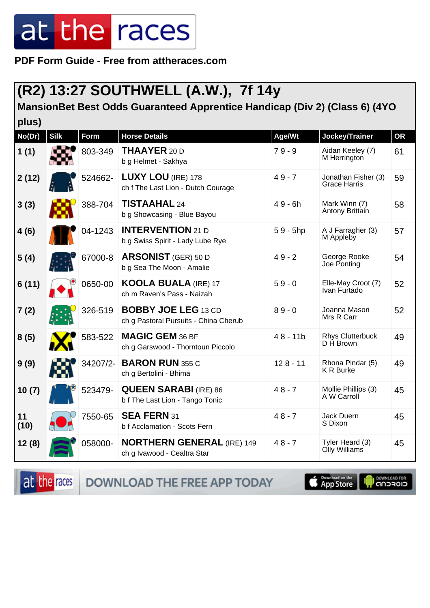**PDF Form Guide - Free from attheraces.com**

#### **(R2) 13:27 SOUTHWELL (A.W.), 7f 14y**

#### **MansionBet Best Odds Guaranteed Apprentice Handicap (Div 2) (Class 6) (4YO**

| plus)      |             |             |                                                                     |            |                                            |           |
|------------|-------------|-------------|---------------------------------------------------------------------|------------|--------------------------------------------|-----------|
| No(Dr)     | <b>Silk</b> | <b>Form</b> | <b>Horse Details</b>                                                | Age/Wt     | Jockey/Trainer                             | <b>OR</b> |
| 1(1)       |             | 803-349     | <b>THAAYER 20 D</b><br>b g Helmet - Sakhya                          | $79 - 9$   | Aidan Keeley (7)<br>M Herrington           | 61        |
| 2(12)      |             | 524662-     | LUXY LOU (IRE) 178<br>ch f The Last Lion - Dutch Courage            | $49 - 7$   | Jonathan Fisher (3)<br><b>Grace Harris</b> | 59        |
| 3(3)       |             | 388-704     | <b>TISTAAHAL 24</b><br>b g Showcasing - Blue Bayou                  | $49 - 6h$  | Mark Winn (7)<br>Antony Brittain           | 58        |
| 4(6)       |             | 04-1243     | <b>INTERVENTION 21 D</b><br>b g Swiss Spirit - Lady Lube Rye        | $59 - 5hp$ | A J Farragher (3)<br>M Appleby             | 57        |
| 5(4)       |             | 67000-8     | <b>ARSONIST</b> (GER) 50 D<br>b g Sea The Moon - Amalie             | $49 - 2$   | George Rooke<br>Joe Ponting                | 54        |
| 6(11)      |             | 0650-00     | <b>KOOLA BUALA (IRE) 17</b><br>ch m Raven's Pass - Naizah           | $59 - 0$   | Elle-May Croot (7)<br>Ivan Furtado         | 52        |
| 7 (2)      |             | 326-519     | <b>BOBBY JOE LEG 13 CD</b><br>ch g Pastoral Pursuits - China Cherub | $89 - 0$   | Joanna Mason<br>Mrs R Carr                 | 52        |
| 8(5)       |             | 583-522     | <b>MAGIC GEM 36 BF</b><br>ch g Garswood - Thorntoun Piccolo         | $48 - 11b$ | <b>Rhys Clutterbuck</b><br>D H Brown       | 49        |
| 9(9)       |             | 34207/2-    | <b>BARON RUN 355 C</b><br>ch g Bertolini - Bhima                    | $128 - 11$ | Rhona Pindar (5)<br><b>KR Burke</b>        | 49        |
| 10(7)      |             | 523479-     | <b>QUEEN SARABI (IRE) 86</b><br>b f The Last Lion - Tango Tonic     | $48 - 7$   | Mollie Phillips (3)<br>A W Carroll         | 45        |
| 11<br>(10) |             | 7550-65     | <b>SEA FERN 31</b><br>b f Acclamation - Scots Fern                  | $48 - 7$   | Jack Duern<br>S Dixon                      | 45        |
| 12(8)      |             | 058000-     | <b>NORTHERN GENERAL (IRE) 149</b><br>ch g Ivawood - Cealtra Star    | $48 - 7$   | Tyler Heard (3)<br>Olly Williams           | 45        |

at the races

DOWNLOAD THE FREE APP TODAY

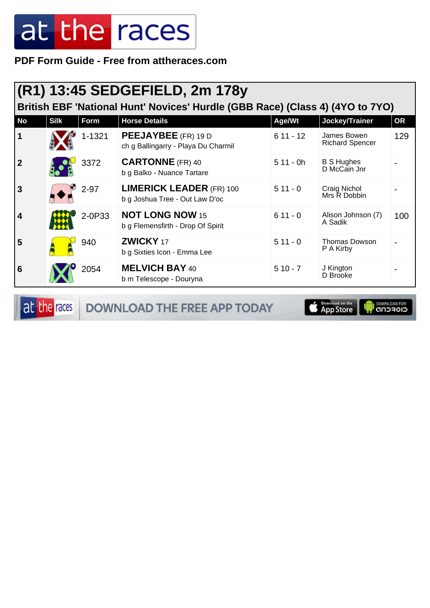**PDF Form Guide - Free from attheraces.com**

|             | (R1) 13:45 SEDGEFIELD, 2m 178y<br>British EBF 'National Hunt' Novices' Hurdle (GBB Race) (Class 4) (4YO to 7YO) |          |                                                                   |            |                                       |           |  |  |
|-------------|-----------------------------------------------------------------------------------------------------------------|----------|-------------------------------------------------------------------|------------|---------------------------------------|-----------|--|--|
| <b>No</b>   | <b>Silk</b>                                                                                                     | Form     | <b>Horse Details</b>                                              | Age/Wt     | Jockey/Trainer                        | <b>OR</b> |  |  |
|             |                                                                                                                 | 1-1321   | <b>PEEJAYBEE</b> (FR) 19 D<br>ch g Ballingarry - Playa Du Charmil | $611 - 12$ | James Bowen<br><b>Richard Spencer</b> | 129       |  |  |
| $\mathbf 2$ |                                                                                                                 | 3372     | <b>CARTONNE</b> (FR) 40<br>b g Balko - Nuance Tartare             | $511 - 0h$ | <b>B S Hughes</b><br>D McCain Jnr     |           |  |  |
| 3           |                                                                                                                 | $2 - 97$ | <b>LIMERICK LEADER (FR) 100</b><br>b g Joshua Tree - Out Law D'oc | $511 - 0$  | Craig Nichol<br>Mrs R Dobbin          |           |  |  |
| 4           |                                                                                                                 | 2-0P33   | <b>NOT LONG NOW 15</b><br>b g Flemensfirth - Drop Of Spirit       | $611 - 0$  | Alison Johnson (7)<br>A Sadik         | 100       |  |  |
| 5           |                                                                                                                 | 940      | ZWICKY 17<br>b g Sixties Icon - Emma Lee                          | $511 - 0$  | Thomas Dowson<br>P A Kirby            |           |  |  |
| 6           |                                                                                                                 | 2054     | <b>MELVICH BAY 40</b><br>b m Telescope - Douryna                  | $510 - 7$  | J Kington<br>D Brooke                 |           |  |  |

at the races DOWNLOAD THE FREE APP TODAY

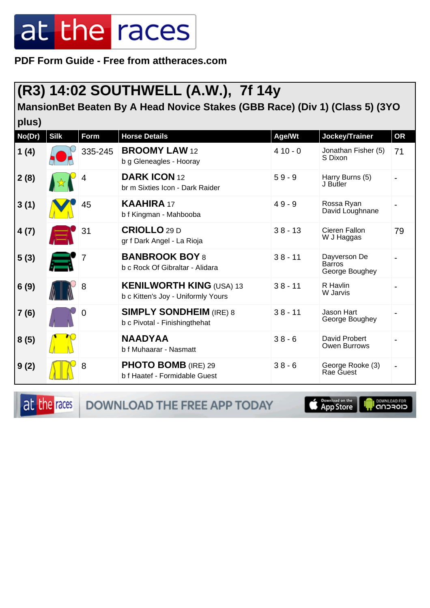**PDF Form Guide - Free from attheraces.com**

#### **(R3) 14:02 SOUTHWELL (A.W.), 7f 14y**

**MansionBet Beaten By A Head Novice Stakes (GBB Race) (Div 1) (Class 5) (3YO**

| plus)  |             |         |                                                                       |           |                                                 |           |
|--------|-------------|---------|-----------------------------------------------------------------------|-----------|-------------------------------------------------|-----------|
| No(Dr) | <b>Silk</b> | Form    | <b>Horse Details</b>                                                  | Age/Wt    | Jockey/Trainer                                  | <b>OR</b> |
| 1(4)   |             | 335-245 | <b>BROOMY LAW 12</b><br>b g Gleneagles - Hooray                       | $410 - 0$ | Jonathan Fisher (5)<br>S Dixon                  | 71        |
| 2(8)   |             | 4       | <b>DARK ICON 12</b><br>br m Sixties Icon - Dark Raider                | $59 - 9$  | Harry Burns (5)<br>J Butler                     |           |
| 3(1)   |             | 45      | <b>KAAHIRA 17</b><br>b f Kingman - Mahbooba                           | $49 - 9$  | Rossa Ryan<br>David Loughnane                   |           |
| 4(7)   |             | 31      | <b>CRIOLLO 29 D</b><br>gr f Dark Angel - La Rioja                     | $38 - 13$ | Cieren Fallon<br>W J Haggas                     | 79        |
| 5(3)   |             |         | <b>BANBROOK BOY 8</b><br>b c Rock Of Gibraltar - Alidara              | $38 - 11$ | Dayverson De<br><b>Barros</b><br>George Boughey |           |
| 6(9)   |             | 8       | <b>KENILWORTH KING (USA) 13</b><br>b c Kitten's Joy - Uniformly Yours | $38 - 11$ | R Havlin<br>W Jarvis                            |           |
| 7(6)   |             | 0       | <b>SIMPLY SONDHEIM (IRE) 8</b><br>b c Pivotal - Finishingthehat       | $38 - 11$ | Jason Hart<br>George Boughey                    |           |
| 8(5)   |             |         | <b>NAADYAA</b><br>b f Muhaarar - Nasmatt                              | $38 - 6$  | David Probert<br><b>Owen Burrows</b>            |           |
| 9(2)   |             | 8       | <b>PHOTO BOMB</b> (IRE) 29<br>b f Haatef - Formidable Guest           | $38 - 6$  | George Rooke (3)<br>Rae Guest                   |           |

at the races

DOWNLOAD THE FREE APP TODAY

**Completed on the** 

**OOWNLOAD FOR**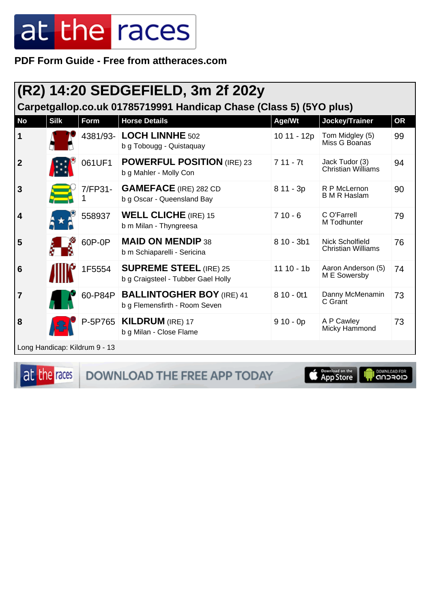PDF Form Guide - Free from attheraces.com

|                         |                               |         | (R2) 14:20 SEDGEFIELD, 3m 2f 202y<br>Carpetgallop.co.uk 01785719991 Handicap Chase (Class 5) (5YO plus) |              |                                                     |           |
|-------------------------|-------------------------------|---------|---------------------------------------------------------------------------------------------------------|--------------|-----------------------------------------------------|-----------|
| <b>No</b>               | <b>Silk</b>                   | Form    | <b>Horse Details</b>                                                                                    | Age/Wt       | Jockey/Trainer                                      | <b>OR</b> |
| $\mathbf 1$             |                               |         | 4381/93- LOCH LINNHE 502<br>b g Tobougg - Quistaquay                                                    | 10 11 - 12p  | Tom Midgley (5)<br>Miss G Boanas                    | 99        |
| $\overline{2}$          |                               | 061UF1  | <b>POWERFUL POSITION (IRE) 23</b><br>b g Mahler - Molly Con                                             | $711 - 7t$   | Jack Tudor (3)<br>Christian Williams                | 94        |
| 3                       |                               | 7/FP31- | <b>GAMEFACE</b> (IRE) 282 CD<br>b g Oscar - Queensland Bay                                              | $811 - 3p$   | R P McLernon<br><b>B</b> M R Haslam                 | 90        |
| $\overline{\mathbf{4}}$ |                               | 558937  | <b>WELL CLICHE</b> (IRE) 15<br>b m Milan - Thyngreesa                                                   | $710 - 6$    | C O'Farrell<br>M Todhunter                          | 79        |
| 5                       |                               | 60P-0P  | <b>MAID ON MENDIP 38</b><br>b m Schiaparelli - Sericina                                                 | $810 - 3b1$  | <b>Nick Scholfield</b><br><b>Christian Williams</b> | 76        |
| 6                       |                               | 1F5554  | <b>SUPREME STEEL (IRE) 25</b><br>b g Craigsteel - Tubber Gael Holly                                     | $11 10 - 1b$ | Aaron Anderson (5)<br>M E Sowersby                  | 74        |
| $\overline{7}$          |                               | 60-P84P | <b>BALLINTOGHER BOY (IRE) 41</b><br>b g Flemensfirth - Room Seven                                       | $810 - 0t1$  | Danny McMenamin<br>C Grant                          | 73        |
| 8                       |                               |         | P-5P765   KILDRUM (IRE) 17<br>b g Milan - Close Flame                                                   | $910 - 0p$   | A P Cawley<br>Micky Hammond                         | 73        |
|                         | Long Handicap: Kildrum 9 - 13 |         |                                                                                                         |              |                                                     |           |

at the races

DOWNLOAD THE FREE APP TODAY

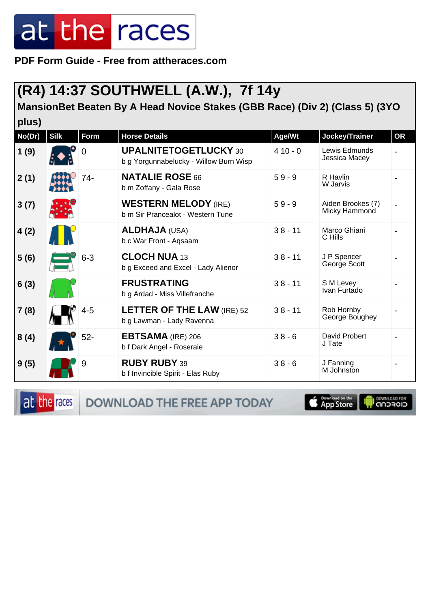**PDF Form Guide - Free from attheraces.com**

#### **(R4) 14:37 SOUTHWELL (A.W.), 7f 14y**

**MansionBet Beaten By A Head Novice Stakes (GBB Race) (Div 2) (Class 5) (3YO**

| plus)  |             |             |                                                                        |           |                                    |           |
|--------|-------------|-------------|------------------------------------------------------------------------|-----------|------------------------------------|-----------|
| No(Dr) | <b>Silk</b> | <b>Form</b> | <b>Horse Details</b>                                                   | Age/Wt    | Jockey/Trainer                     | <b>OR</b> |
| 1(9)   |             | 0           | <b>UPALNITETOGETLUCKY 30</b><br>b g Yorgunnabelucky - Willow Burn Wisp | $410 - 0$ | Lewis Edmunds<br>Jessica Macey     |           |
| 2(1)   |             | 74-         | <b>NATALIE ROSE 66</b><br>b m Zoffany - Gala Rose                      | $59 - 9$  | R Havlin<br>W Jarvis               |           |
| 3(7)   |             |             | <b>WESTERN MELODY (IRE)</b><br>b m Sir Prancealot - Western Tune       | $59 - 9$  | Aiden Brookes (7)<br>Micky Hammond |           |
| 4(2)   |             |             | <b>ALDHAJA (USA)</b><br>b c War Front - Aqsaam                         | $38 - 11$ | Marco Ghiani<br>C Hills            |           |
| 5(6)   |             | $6 - 3$     | <b>CLOCH NUA 13</b><br>b g Exceed and Excel - Lady Alienor             | $38 - 11$ | J P Spencer<br>George Scott        |           |
| 6(3)   |             |             | <b>FRUSTRATING</b><br>b g Ardad - Miss Villefranche                    | $38 - 11$ | S M Levey<br>Ivan Furtado          |           |
| 7(8)   |             | $4 - 5$     | <b>LETTER OF THE LAW (IRE) 52</b><br>b g Lawman - Lady Ravenna         | $38 - 11$ | Rob Hornby<br>George Boughey       |           |
| 8(4)   |             | $52-$       | <b>EBTSAMA</b> (IRE) 206<br>b f Dark Angel - Roseraie                  | $38 - 6$  | David Probert<br>J Tate            |           |
| 9(5)   |             | 9           | <b>RUBY RUBY 39</b><br>b f Invincible Spirit - Elas Ruby               | $38 - 6$  | J Fanning<br>M Johnston            |           |

at the races

DOWNLOAD THE FREE APP TODAY

**Completed on the**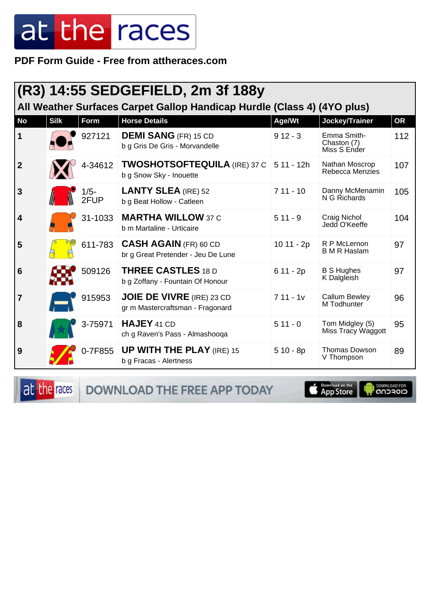#### PDF Form Guide - Free from attheraces.com

| (R3) 14:55 SEDGEFIELD, 2m 3f 188y<br>All Weather Surfaces Carpet Gallop Handicap Hurdle (Class 4) (4YO plus) |             |                 |                                                                      |             |                                            |           |  |
|--------------------------------------------------------------------------------------------------------------|-------------|-----------------|----------------------------------------------------------------------|-------------|--------------------------------------------|-----------|--|
| <b>No</b>                                                                                                    | <b>Silk</b> | <b>Form</b>     | <b>Horse Details</b>                                                 | Age/Wt      | Jockey/Trainer                             | <b>OR</b> |  |
| $\vert$ 1                                                                                                    |             | 927121          | <b>DEMI SANG (FR) 15 CD</b><br>b g Gris De Gris - Morvandelle        | $912 - 3$   | Emma Smith-<br>Chaston (7)<br>Miss S Ender | 112       |  |
| $\overline{2}$                                                                                               |             | 4-34612         | <b>TWOSHOTSOFTEQUILA</b> (IRE) 37 C<br>b g Snow Sky - Inouette       | $511 - 12h$ | Nathan Moscrop<br>Rebecca Menzies          | 107       |  |
| $\mathbf{3}$                                                                                                 |             | $1/5 -$<br>2FUP | <b>LANTY SLEA (IRE) 52</b><br>b g Beat Hollow - Catleen              | $711 - 10$  | Danny McMenamin<br>N G Richards            | 105       |  |
| $\overline{\mathbf{4}}$                                                                                      |             | 31-1033         | <b>MARTHA WILLOW 37 C</b><br>b m Martaline - Urticaire               | $511 - 9$   | Craig Nichol<br>Jedd O'Keeffe              | 104       |  |
| 5                                                                                                            |             | 611-783         | <b>CASH AGAIN (FR) 60 CD</b><br>br g Great Pretender - Jeu De Lune   | 10 11 - 2p  | R P McLernon<br><b>B M R Haslam</b>        | 97        |  |
| $6\phantom{1}6$                                                                                              |             | 509126          | <b>THREE CASTLES 18 D</b><br>b g Zoffany - Fountain Of Honour        | $611 - 2p$  | <b>B S Hughes</b><br>K Dalgleish           | 97        |  |
| $\overline{7}$                                                                                               |             | 915953          | <b>JOIE DE VIVRE</b> (IRE) 23 CD<br>gr m Mastercraftsman - Fragonard | $711 - 1v$  | <b>Callum Bewley</b><br>M Todhunter        | 96        |  |
| 8                                                                                                            |             | 3-75971         | HAJEY 41 CD<br>ch g Raven's Pass - Almashooga                        | $511 - 0$   | Tom Midgley (5)<br>Miss Tracy Waggott      | 95        |  |
| 9                                                                                                            |             | 0-7F855         | <b>UP WITH THE PLAY (IRE) 15</b><br>b g Fracas - Alertness           | $510 - 8p$  | <b>Thomas Dowson</b><br>V Thompson         | 89        |  |

at the races DOWNLOAD THE FREE APP TODAY

App Store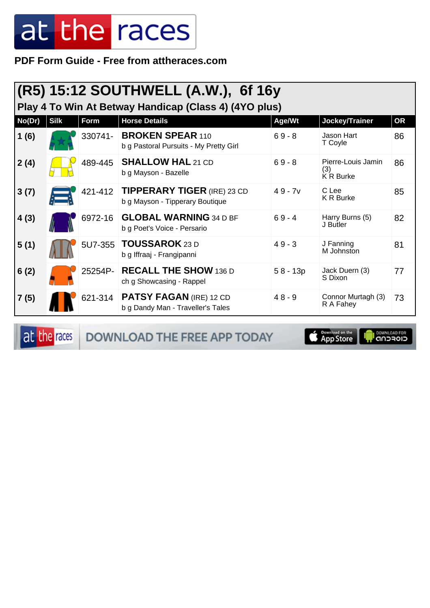PDF Form Guide - Free from attheraces.com

|        | (R5) 15:12 SOUTHWELL (A.W.), 6f 16y<br>Play 4 To Win At Betway Handicap (Class 4) (4YO plus) |         |                                                                       |            |                                        |           |  |  |  |
|--------|----------------------------------------------------------------------------------------------|---------|-----------------------------------------------------------------------|------------|----------------------------------------|-----------|--|--|--|
| No(Dr) | <b>Silk</b>                                                                                  | Form    | <b>Horse Details</b>                                                  | Age/Wt     | Jockey/Trainer                         | <b>OR</b> |  |  |  |
| 1(6)   |                                                                                              | 330741- | <b>BROKEN SPEAR 110</b><br>b g Pastoral Pursuits - My Pretty Girl     | $69 - 8$   | Jason Hart<br>T Coyle                  | 86        |  |  |  |
| 2(4)   |                                                                                              | 489-445 | <b>SHALLOW HAL 21 CD</b><br>b g Mayson - Bazelle                      | $69 - 8$   | Pierre-Louis Jamin<br>(3)<br>K R Burke | 86        |  |  |  |
| 3(7)   |                                                                                              | 421-412 | <b>TIPPERARY TIGER (IRE) 23 CD</b><br>b g Mayson - Tipperary Boutique | $49 - 7v$  | C Lee<br><b>K R Burke</b>              | 85        |  |  |  |
| 4(3)   |                                                                                              | 6972-16 | <b>GLOBAL WARNING 34 D BF</b><br>b g Poet's Voice - Persario          | $69 - 4$   | Harry Burns (5)<br>J Butler            | 82        |  |  |  |
| 5(1)   |                                                                                              |         | 5U7-355 TOUSSAROK 23 D<br>b g Iffraaj - Frangipanni                   | $49 - 3$   | J Fanning<br>M Johnston                | 81        |  |  |  |
| 6(2)   |                                                                                              | 25254P- | <b>RECALL THE SHOW 136 D</b><br>ch g Showcasing - Rappel              | $58 - 13p$ | Jack Duern (3)<br>S Dixon              | 77        |  |  |  |
| 7(5)   |                                                                                              | 621-314 | <b>PATSY FAGAN (IRE) 12 CD</b><br>b g Dandy Man - Traveller's Tales   | $48 - 9$   | Connor Murtagh (3)<br>R A Fahey        | 73        |  |  |  |

at the races

DOWNLOAD THE FREE APP TODAY

App Store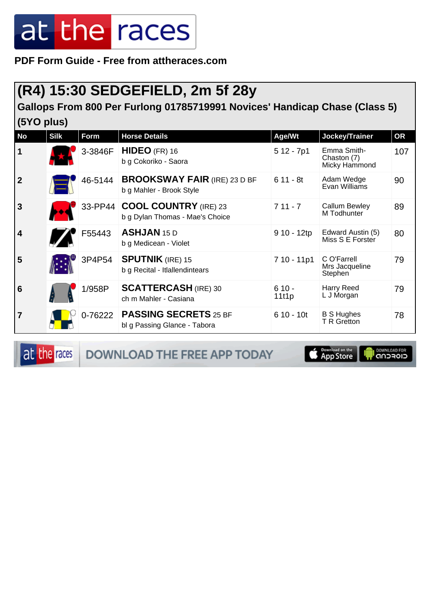**PDF Form Guide - Free from attheraces.com**

#### **(R4) 15:30 SEDGEFIELD, 2m 5f 28y**

#### **Gallops From 800 Per Furlong 01785719991 Novices' Handicap Chase (Class 5) (5YO plus)**

| <b>No</b>               | <b>Silk</b> | <b>Form</b> | <b>Horse Details</b>                                             | Age/Wt           | Jockey/Trainer                              | <b>OR</b> |
|-------------------------|-------------|-------------|------------------------------------------------------------------|------------------|---------------------------------------------|-----------|
| $\mathbf 1$             |             | 3-3846F     | $HIDEO$ (FR) 16<br>b g Cokoriko - Saora                          | $512 - 7p1$      | Emma Smith-<br>Chaston (7)<br>Micky Hammond | 107       |
| $\overline{2}$          |             | 46-5144     | <b>BROOKSWAY FAIR (IRE) 23 D BF</b><br>b g Mahler - Brook Style  | $611 - 8t$       | Adam Wedge<br>Evan Williams                 | 90        |
| $\overline{3}$          |             |             | 33-PP44 COOL COUNTRY (IRE) 23<br>b g Dylan Thomas - Mae's Choice | $711 - 7$        | Callum Bewley<br>M Todhunter                | 89        |
| $\overline{\mathbf{4}}$ |             | F55443      | <b>ASHJAN 15 D</b><br>b g Medicean - Violet                      | $910 - 12tp$     | Edward Austin (5)<br>Miss S E Forster       | 80        |
| 5                       |             | 3P4P54      | <b>SPUTNIK (IRE) 15</b><br>b g Recital - Itlallendintears        | 7 10 - 11p1      | C O'Farrell<br>Mrs Jacqueline<br>Stephen    | 79        |
| $6\phantom{1}6$         |             | 1/958P      | <b>SCATTERCASH</b> (IRE) 30<br>ch m Mahler - Casiana             | $610 -$<br>1111p | <b>Harry Reed</b><br>L J Morgan             | 79        |
| $\overline{7}$          |             | 0-76222     | <b>PASSING SECRETS 25 BF</b><br>bl g Passing Glance - Tabora     | $610 - 10t$      | <b>B S Hughes</b><br><b>T R Gretton</b>     | 78        |

at the races DOWNLOAD THE FREE APP TODAY App Store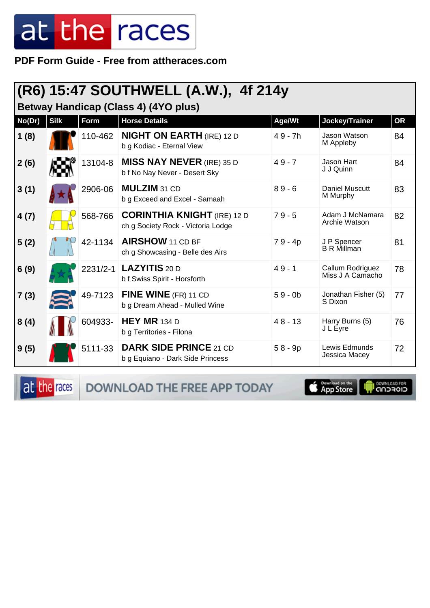**PDF Form Guide - Free from attheraces.com**

#### **(R6) 15:47 SOUTHWELL (A.W.), 4f 214y**

**Betway Handicap (Class 4) (4YO plus)**

| No(Dr) | <b>Silk</b> | Form     | <b>Horse Details</b>                                                     | Age/Wt    | Jockey/Trainer                       | <b>OR</b> |
|--------|-------------|----------|--------------------------------------------------------------------------|-----------|--------------------------------------|-----------|
| 1(8)   |             | 110-462  | <b>NIGHT ON EARTH (IRE) 12 D</b><br>b g Kodiac - Eternal View            | 49 - 7h   | Jason Watson<br>M Appleby            | 84        |
| 2(6)   |             | 13104-8  | <b>MISS NAY NEVER (IRE) 35 D</b><br>b f No Nay Never - Desert Sky        | $49 - 7$  | Jason Hart<br>J J Quinn              | 84        |
| 3(1)   |             | 2906-06  | MULZIM 31 CD<br>b g Exceed and Excel - Samaah                            | $89 - 6$  | Daniel Muscutt<br>M Murphy           | 83        |
| 4(7)   |             | 568-766  | <b>CORINTHIA KNIGHT</b> (IRE) 12 D<br>ch g Society Rock - Victoria Lodge | $79 - 5$  | Adam J McNamara<br>Archie Watson     | 82        |
| 5(2)   |             | 42-1134  | <b>AIRSHOW</b> 11 CD BF<br>ch g Showcasing - Belle des Airs              | 79 - 4p   | J P Spencer<br><b>B R Millman</b>    | 81        |
| 6(9)   |             | 2231/2-1 | LAZYITIS 20 D<br>b f Swiss Spirit - Horsforth                            | $49 - 1$  | Callum Rodriguez<br>Miss J A Camacho | 78        |
| 7(3)   |             | 49-7123  | FINE WINE (FR) 11 CD<br>b g Dream Ahead - Mulled Wine                    | $59 - 0b$ | Jonathan Fisher (5)<br>S Dixon       | 77        |
| 8(4)   |             | 604933-  | <b>HEY MR</b> 134 D<br>b g Territories - Filona                          | $48 - 13$ | Harry Burns (5)<br>J L Éyre          | 76        |
| 9(5)   |             | 5111-33  | <b>DARK SIDE PRINCE 21 CD</b><br>b g Equiano - Dark Side Princess        | $58 - 9p$ | Lewis Edmunds<br>Jessica Macey       | 72        |

at the races DOWNLOAD THE FREE APP TODAY

App Store **I DOWNLOAD FOR**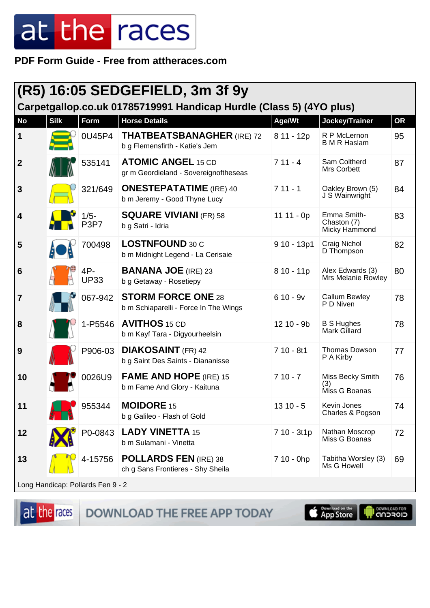PDF Form Guide - Free from attheraces.com

|                |             |                                          | <b>(R5) 16:05 SEDGEFIELD, 3m 3f 9y</b>                              |              |                                             |           |  |
|----------------|-------------|------------------------------------------|---------------------------------------------------------------------|--------------|---------------------------------------------|-----------|--|
|                |             |                                          | Carpetgallop.co.uk 01785719991 Handicap Hurdle (Class 5) (4YO plus) |              |                                             |           |  |
| <b>No</b>      | <b>Silk</b> | Form                                     | <b>Horse Details</b>                                                | Age/Wt       | Jockey/Trainer                              | <b>OR</b> |  |
| 1              |             | 0U45P4                                   | <b>THATBEATSBANAGHER (IRE) 72</b><br>b g Flemensfirth - Katie's Jem | 8 11 - 12p   | R P McLernon<br><b>B M R Haslam</b>         | 95        |  |
| $\overline{2}$ |             | 535141                                   | <b>ATOMIC ANGEL 15 CD</b><br>gr m Geordieland - Sovereignoftheseas  | $711 - 4$    | Sam Coltherd<br>Mrs Corbett                 | 87        |  |
| 3              |             | 321/649                                  | <b>ONESTEPATATIME</b> (IRE) 40<br>b m Jeremy - Good Thyne Lucy      | $711 - 1$    | Oakley Brown (5)<br>J S Wainwright          | 84        |  |
| 4              |             | $1/5 -$<br>P <sub>3</sub> P <sub>7</sub> | <b>SQUARE VIVIANI (FR) 58</b><br>b g Satri - Idria                  | $1111 - 0p$  | Emma Smith-<br>Chaston (7)<br>Micky Hammond | 83        |  |
| 5              |             | 700498                                   | <b>LOSTNFOUND 30 C</b><br>b m Midnight Legend - La Cerisaie         | $910 - 13p1$ | Craig Nichol<br>D Thompson                  | 82        |  |
| 6              |             | 4P-<br><b>UP33</b>                       | <b>BANANA JOE</b> (IRE) 23<br>b g Getaway - Rosetiepy               | $810 - 11p$  | Alex Edwards (3)<br>Mrs Melanie Rowley      | 80        |  |
| $\overline{7}$ |             | 067-942                                  | <b>STORM FORCE ONE 28</b><br>b m Schiaparelli - Force In The Wings  | $610 - 9v$   | <b>Callum Bewley</b><br>P D Niven           | 78        |  |
| 8              |             | 1-P5546                                  | <b>AVITHOS</b> 15 CD<br>b m Kayf Tara - Digyourheelsin              | $1210 - 9b$  | <b>B S Hughes</b><br>Mark Gillard           | 78        |  |
| 9              |             | P906-03                                  | <b>DIAKOSAINT</b> (FR) 42<br>b g Saint Des Saints - Diananisse      | $710 - 8t1$  | <b>Thomas Dowson</b><br>P A Kirby           | 77        |  |
| 10             |             | 0026U9                                   | <b>FAME AND HOPE (IRE) 15</b><br>b m Fame And Glory - Kaituna       | $710 - 7$    | Miss Becky Smith<br>(3)<br>Miss G Boanas    | 76        |  |
| 11             |             | 955344                                   | <b>MOIDORE 15</b><br>b g Galileo - Flash of Gold                    | $1310 - 5$   | Kevin Jones<br>Charles & Pogson             | 74        |  |
| 12             |             | P0-0843                                  | <b>LADY VINETTA 15</b><br>b m Sulamani - Vinetta                    | 7 10 - 3t1p  | Nathan Moscrop<br>Miss G Boanas             | 72        |  |
| 13             |             | 4-15756                                  | <b>POLLARDS FEN (IRE) 38</b><br>ch g Sans Frontieres - Shy Sheila   | 7 10 - 0hp   | Tabitha Worsley (3)<br>Ms G Howell          | 69        |  |
|                |             | Long Handican: Pollarde Fon 0 2          |                                                                     |              |                                             |           |  |

at the races

DOWNLOAD THE FREE APP TODAY

Download on the **DOWNLOAD FOR**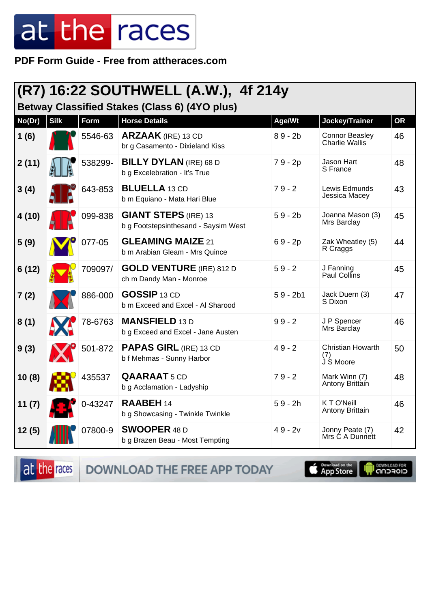**PDF Form Guide - Free from attheraces.com**

|  |  | (R7) 16:22 SOUTHWELL (A.W.), 4f 214y |
|--|--|--------------------------------------|
|  |  |                                      |

**Betway Classified Stakes (Class 6) (4YO plus)**

| No(Dr) | <b>Silk</b> | <b>Form</b> | <b>Horse Details</b>                                                | Age/Wt     | Jockey/Trainer                                 | <b>OR</b> |
|--------|-------------|-------------|---------------------------------------------------------------------|------------|------------------------------------------------|-----------|
| 1(6)   |             | 5546-63     | <b>ARZAAK</b> (IRE) 13 CD<br>br g Casamento - Dixieland Kiss        | $89 - 2b$  | <b>Connor Beasley</b><br><b>Charlie Wallis</b> | 46        |
| 2(11)  |             | 538299-     | <b>BILLY DYLAN</b> (IRE) 68 D<br>b g Excelebration - It's True      | 79 - 2p    | Jason Hart<br>S France                         | 48        |
| 3(4)   |             | 643-853     | <b>BLUELLA</b> 13 CD<br>b m Equiano - Mata Hari Blue                | $79 - 2$   | Lewis Edmunds<br>Jessica Macey                 | 43        |
| 4(10)  |             | 099-838     | <b>GIANT STEPS (IRE) 13</b><br>b g Footstepsinthesand - Saysim West | $59 - 2b$  | Joanna Mason (3)<br>Mrs Barclay                | 45        |
| 5(9)   |             | 077-05      | <b>GLEAMING MAIZE 21</b><br>b m Arabian Gleam - Mrs Quince          | $69 - 2p$  | Zak Wheatley (5)<br>R Craggs                   | 44        |
| 6(12)  |             | 709097/     | <b>GOLD VENTURE</b> (IRE) 812 D<br>ch m Dandy Man - Monroe          | $59 - 2$   | J Fanning<br>Paul Collins                      | 45        |
| 7(2)   |             | 886-000     | <b>GOSSIP 13 CD</b><br>b m Exceed and Excel - Al Sharood            | $59 - 2b1$ | Jack Duern (3)<br>S Dixon                      | 47        |
| 8(1)   |             | 78-6763     | <b>MANSFIELD 13 D</b><br>b g Exceed and Excel - Jane Austen         | $99 - 2$   | J P Spencer<br>Mrs Barclay                     | 46        |
| 9(3)   |             | 501-872     | <b>PAPAS GIRL (IRE) 13 CD</b><br>b f Mehmas - Sunny Harbor          | $49 - 2$   | <b>Christian Howarth</b><br>(7)<br>J S Moore   | 50        |
| 10(8)  |             | 435537      | <b>QAARAAT</b> 5 CD<br>b g Acclamation - Ladyship                   | $79 - 2$   | Mark Winn (7)<br>Antony Brittain               | 48        |
| 11(7)  |             | 0-43247     | <b>RAABEH 14</b><br>b g Showcasing - Twinkle Twinkle                | $59 - 2h$  | KTO'Neill<br>Antony Brittain                   | 46        |
| 12(5)  |             | 07800-9     | <b>SWOOPER 48 D</b><br>b g Brazen Beau - Most Tempting              | $49 - 2v$  | Jonny Peate (7)<br>Mrs Ć A Dunnett             | 42        |

at the races DOWNLOAD THE FREE APP TODAY

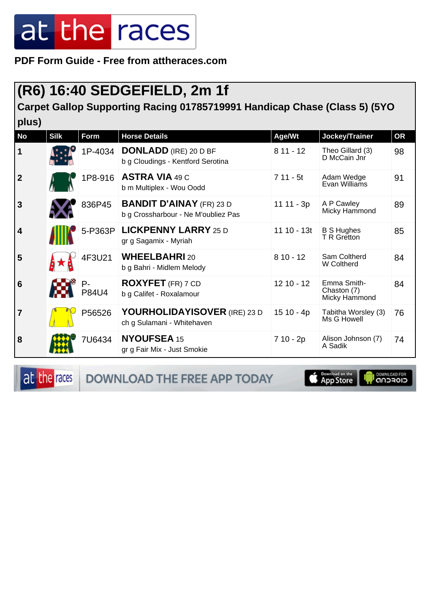**PDF Form Guide - Free from attheraces.com**

#### **(R6) 16:40 SEDGEFIELD, 2m 1f**

**Carpet Gallop Supporting Racing 01785719991 Handicap Chase (Class 5) (5YO plus)**

| <b>No</b>       | <b>Silk</b> | Form           | <b>Horse Details</b>                                                   | Age/Wt      | Jockey/Trainer                              | OR |
|-----------------|-------------|----------------|------------------------------------------------------------------------|-------------|---------------------------------------------|----|
| 1               |             | 1P-4034        | <b>DONLADD</b> (IRE) 20 D BF<br>b g Cloudings - Kentford Serotina      | $811 - 12$  | Theo Gillard (3)<br>D McCain Jnr            | 98 |
| $\overline{2}$  |             | 1P8-916        | <b>ASTRA VIA 49 C</b><br>b m Multiplex - Wou Oodd                      | $711 - 5t$  | Adam Wedge<br>Evan Williams                 | 91 |
| 3               |             | 836P45         | <b>BANDIT D'AINAY (FR) 23 D</b><br>b g Crossharbour - Ne M'oubliez Pas | 11 11 - 3p  | A P Cawley<br>Micky Hammond                 | 89 |
| 4               |             | 5-P363P        | <b>LICKPENNY LARRY 25 D</b><br>gr g Sagamix - Myriah                   | 11 10 - 13t | <b>B S Hughes</b><br>T R Gretton            | 85 |
| 5               |             | 4F3U21         | <b>WHEELBAHRI20</b><br>b g Bahri - Midlem Melody                       | $810 - 12$  | Sam Coltherd<br>W Coltherd                  | 84 |
| $6\phantom{1}6$ |             | $P -$<br>P84U4 | <b>ROXYFET</b> (FR) 7 CD<br>b g Califet - Roxalamour                   | $1210 - 12$ | Emma Smith-<br>Chaston (7)<br>Micky Hammond | 84 |
| $\overline{7}$  |             | P56526         | YOURHOLIDAYISOVER (IRE) 23 D<br>ch g Sulamani - Whitehaven             | 15 10 - 4p  | Tabitha Worsley (3)<br>Ms G Howell          | 76 |
| 8               |             | 7U6434         | <b>NYOUFSEA 15</b><br>gr g Fair Mix - Just Smokie                      | 7 10 - 2p   | Alison Johnson (7)<br>A Sadik               | 74 |

at the races

DOWNLOAD THE FREE APP TODAY

App Store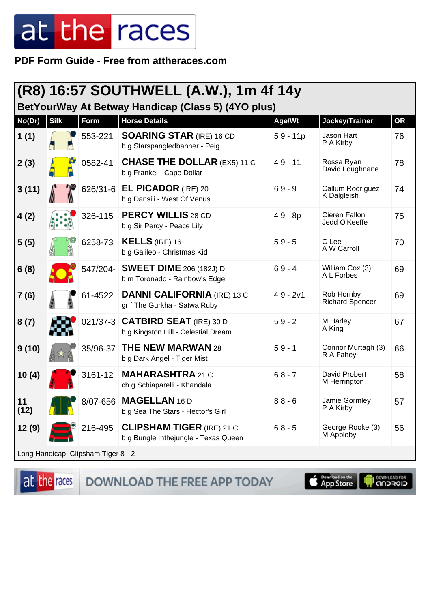PDF Form Guide - Free from attheraces.com

| (R8) 16:57 SOUTHWELL (A.W.), 1m 4f 14y<br>BetYourWay At Betway Handicap (Class 5) (4YO plus) |             |          |                                                                          |            |                                      |           |  |
|----------------------------------------------------------------------------------------------|-------------|----------|--------------------------------------------------------------------------|------------|--------------------------------------|-----------|--|
| No(Dr)                                                                                       | <b>Silk</b> | Form     | <b>Horse Details</b>                                                     | Age/Wt     | Jockey/Trainer                       | <b>OR</b> |  |
| 1(1)                                                                                         |             | 553-221  | <b>SOARING STAR (IRE) 16 CD</b><br>b g Starspangledbanner - Peig         | $59 - 11p$ | Jason Hart<br>P A Kirby              | 76        |  |
| 2(3)                                                                                         |             | 0582-41  | <b>CHASE THE DOLLAR (EX5) 11 C</b><br>b g Frankel - Cape Dollar          | $49 - 11$  | Rossa Ryan<br>David Loughnane        | 78        |  |
| 3(11)                                                                                        |             | 626/31-6 | <b>EL PICADOR</b> (IRE) 20<br>b g Dansili - West Of Venus                | $69 - 9$   | Callum Rodriguez<br>K Dalgleish      | 74        |  |
| 4(2)                                                                                         |             | 326-115  | <b>PERCY WILLIS 28 CD</b><br>b g Sir Percy - Peace Lily                  | $49 - 8p$  | Cieren Fallon<br>Jedd O'Keeffe       | 75        |  |
| 5(5)                                                                                         |             | 6258-73  | <b>KELLS</b> (IRE) 16<br>b g Galileo - Christmas Kid                     | $59 - 5$   | C Lee<br>A W Carroll                 | 70        |  |
| 6(8)                                                                                         |             |          | 547/204- SWEET DIME 206 (182J) D<br>b m Toronado - Rainbow's Edge        | $69 - 4$   | William Cox (3)<br>A L Forbes        | 69        |  |
| 7(6)                                                                                         |             | 61-4522  | <b>DANNI CALIFORNIA (IRE) 13 C</b><br>gr f The Gurkha - Satwa Ruby       | $49 - 2v1$ | Rob Hornby<br><b>Richard Spencer</b> | 69        |  |
| 8(7)                                                                                         |             |          | 021/37-3 CATBIRD SEAT (IRE) 30 D<br>b g Kingston Hill - Celestial Dream  | $59 - 2$   | M Harley<br>A King                   | 67        |  |
| 9(10)                                                                                        |             | 35/96-37 | <b>THE NEW MARWAN 28</b><br>b g Dark Angel - Tiger Mist                  | $59 - 1$   | Connor Murtagh (3)<br>R A Fahey      | 66        |  |
| 10(4)                                                                                        |             | 3161-12  | <b>MAHARASHTRA 21 C</b><br>ch g Schiaparelli - Khandala                  | $68 - 7$   | David Probert<br>M Herrington        | 58        |  |
| 11<br>(12)                                                                                   |             |          | 8/07-656 MAGELLAN 16 D<br>b g Sea The Stars - Hector's Girl              | $88 - 6$   | Jamie Gormley<br>P A Kirby           | 57        |  |
| 12(9)                                                                                        |             | 216-495  | <b>CLIPSHAM TIGER (IRE) 21 C</b><br>b g Bungle Inthejungle - Texas Queen | $68 - 5$   | George Rooke (3)<br>M Appleby        | 56        |  |
| Long Handicap: Clipsham Tiger 8 - 2                                                          |             |          |                                                                          |            |                                      |           |  |

at the races DOWNLOAD THE FREE APP TODAY

**Completed on the**